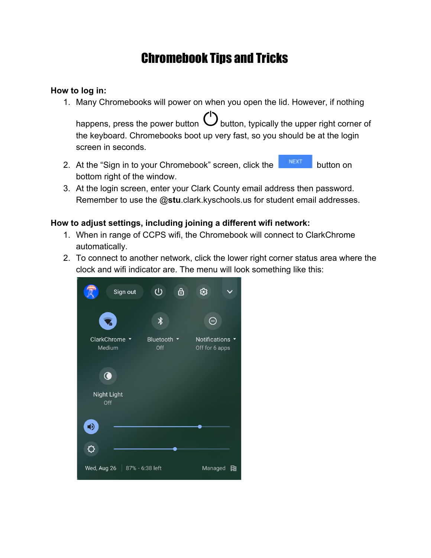## Chromebook Tips and Tricks

## **How to log in:**

1. Many Chromebooks will power on when you open the lid. However, if nothing

happens, press the power button  $\bigcup$  button, typically the upper right corner of the keyboard. Chromebooks boot up very fast, so you should be at the login screen in seconds.

- 2. At the "Sign in to your Chromebook" screen, click the **BUNEXT** button on bottom right of the window.
- 3. At the login screen, enter your Clark County email address then password. Remember to use the @**stu**.clark.kyschools.us for student email addresses.

## **How to adjust settings, including joining a different wifi network:**

- 1. When in range of CCPS wifi, the Chromebook will connect to ClarkChrome automatically.
- 2. To connect to another network, click the lower right corner status area where the clock and wifi indicator are. The menu will look something like this: